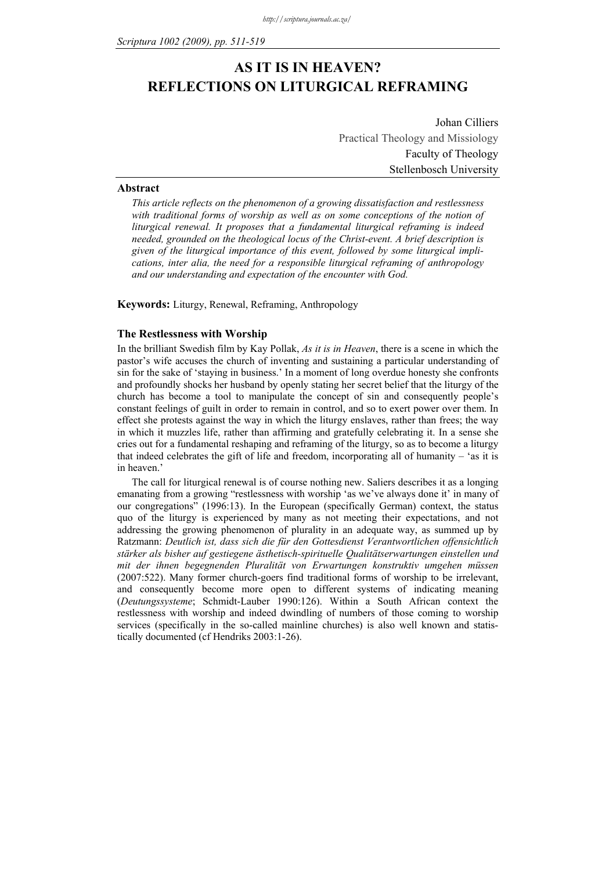# **AS IT IS IN HEAVEN? REFLECTIONS ON LITURGICAL REFRAMING**

Johan Cilliers Practical Theology and Missiology Faculty of Theology Stellenbosch University

#### **Abstract**

*This article reflects on the phenomenon of a growing dissatisfaction and restlessness*  with traditional forms of worship as well as on some conceptions of the notion of *liturgical renewal. It proposes that a fundamental liturgical reframing is indeed needed, grounded on the theological locus of the Christ-event. A brief description is given of the liturgical importance of this event, followed by some liturgical implications, inter alia, the need for a responsible liturgical reframing of anthropology and our understanding and expectation of the encounter with God.* 

**Keywords:** Liturgy, Renewal, Reframing, Anthropology

## **The Restlessness with Worship**

In the brilliant Swedish film by Kay Pollak, *As it is in Heaven*, there is a scene in which the pastor's wife accuses the church of inventing and sustaining a particular understanding of sin for the sake of 'staying in business.' In a moment of long overdue honesty she confronts and profoundly shocks her husband by openly stating her secret belief that the liturgy of the church has become a tool to manipulate the concept of sin and consequently people's constant feelings of guilt in order to remain in control, and so to exert power over them. In effect she protests against the way in which the liturgy enslaves, rather than frees; the way in which it muzzles life, rather than affirming and gratefully celebrating it. In a sense she cries out for a fundamental reshaping and reframing of the liturgy, so as to become a liturgy that indeed celebrates the gift of life and freedom, incorporating all of humanity – 'as it is in heaven.'

The call for liturgical renewal is of course nothing new. Saliers describes it as a longing emanating from a growing "restlessness with worship 'as we've always done it' in many of our congregations" (1996:13). In the European (specifically German) context, the status quo of the liturgy is experienced by many as not meeting their expectations, and not addressing the growing phenomenon of plurality in an adequate way, as summed up by Ratzmann: *Deutlich ist, dass sich die für den Gottesdienst Verantwortlichen offensichtlich stärker als bisher auf gestiegene ästhetisch-spirituelle Qualitätserwartungen einstellen und mit der ihnen begegnenden Pluralität von Erwartungen konstruktiv umgehen müssen* (2007:522). Many former church-goers find traditional forms of worship to be irrelevant, and consequently become more open to different systems of indicating meaning (*Deutungssysteme*; Schmidt-Lauber 1990:126). Within a South African context the restlessness with worship and indeed dwindling of numbers of those coming to worship services (specifically in the so-called mainline churches) is also well known and statistically documented (cf Hendriks 2003:1-26).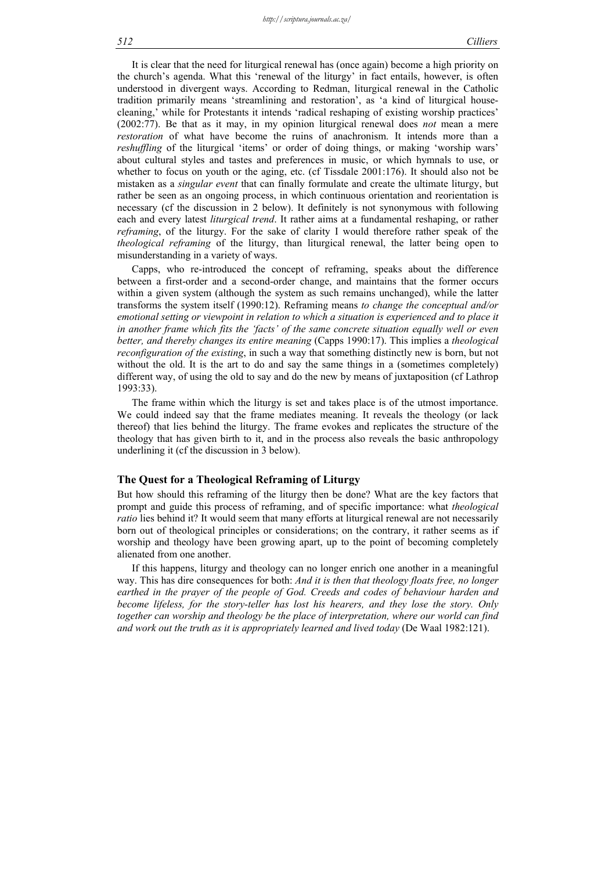It is clear that the need for liturgical renewal has (once again) become a high priority on the church's agenda. What this 'renewal of the liturgy' in fact entails, however, is often understood in divergent ways. According to Redman, liturgical renewal in the Catholic tradition primarily means 'streamlining and restoration', as 'a kind of liturgical housecleaning,' while for Protestants it intends 'radical reshaping of existing worship practices' (2002:77). Be that as it may, in my opinion liturgical renewal does *not* mean a mere *restoration* of what have become the ruins of anachronism. It intends more than a *reshuffling* of the liturgical 'items' or order of doing things, or making 'worship wars' about cultural styles and tastes and preferences in music, or which hymnals to use, or whether to focus on youth or the aging, etc. (cf Tissdale 2001:176). It should also not be mistaken as a *singular event* that can finally formulate and create the ultimate liturgy, but rather be seen as an ongoing process, in which continuous orientation and reorientation is necessary (cf the discussion in 2 below). It definitely is not synonymous with following each and every latest *liturgical trend*. It rather aims at a fundamental reshaping, or rather *reframing*, of the liturgy. For the sake of clarity I would therefore rather speak of the *theological reframing* of the liturgy, than liturgical renewal, the latter being open to misunderstanding in a variety of ways.

Capps, who re-introduced the concept of reframing, speaks about the difference between a first-order and a second-order change, and maintains that the former occurs within a given system (although the system as such remains unchanged), while the latter transforms the system itself (1990:12). Reframing means *to change the conceptual and/or emotional setting or viewpoint in relation to which a situation is experienced and to place it in another frame which fits the 'facts' of the same concrete situation equally well or even better, and thereby changes its entire meaning* (Capps 1990:17). This implies a *theological reconfiguration of the existing*, in such a way that something distinctly new is born, but not without the old. It is the art to do and say the same things in a (sometimes completely) different way, of using the old to say and do the new by means of juxtaposition (cf Lathrop 1993:33).

The frame within which the liturgy is set and takes place is of the utmost importance. We could indeed say that the frame mediates meaning. It reveals the theology (or lack thereof) that lies behind the liturgy. The frame evokes and replicates the structure of the theology that has given birth to it, and in the process also reveals the basic anthropology underlining it (cf the discussion in 3 below).

## **The Quest for a Theological Reframing of Liturgy**

But how should this reframing of the liturgy then be done? What are the key factors that prompt and guide this process of reframing, and of specific importance: what *theological ratio* lies behind it? It would seem that many efforts at liturgical renewal are not necessarily born out of theological principles or considerations; on the contrary, it rather seems as if worship and theology have been growing apart, up to the point of becoming completely alienated from one another.

If this happens, liturgy and theology can no longer enrich one another in a meaningful way. This has dire consequences for both: *And it is then that theology floats free, no longer earthed in the prayer of the people of God. Creeds and codes of behaviour harden and become lifeless, for the story-teller has lost his hearers, and they lose the story. Only together can worship and theology be the place of interpretation, where our world can find and work out the truth as it is appropriately learned and lived today* (De Waal 1982:121).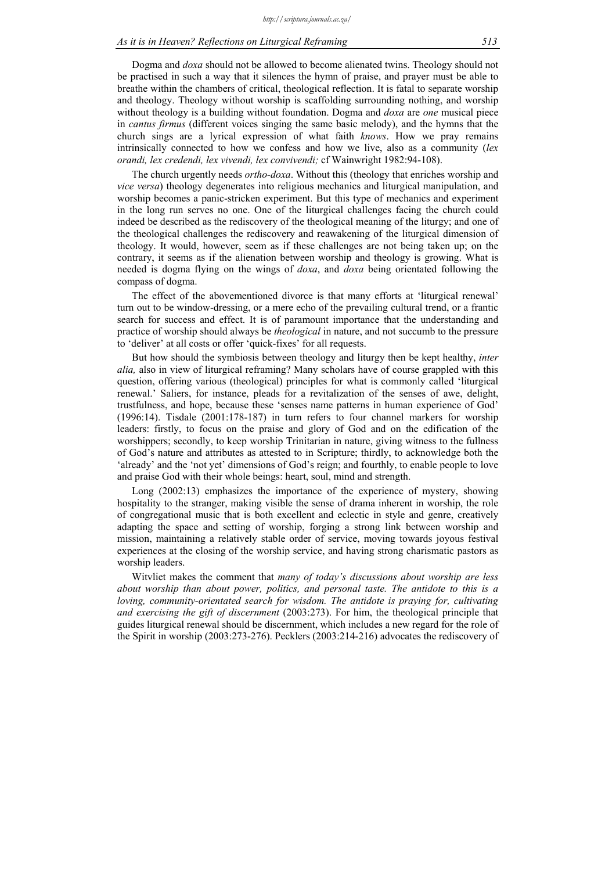## *As it is in Heaven? Reflections on Liturgical Reframing 513*

Dogma and *doxa* should not be allowed to become alienated twins. Theology should not be practised in such a way that it silences the hymn of praise, and prayer must be able to breathe within the chambers of critical, theological reflection. It is fatal to separate worship and theology. Theology without worship is scaffolding surrounding nothing, and worship without theology is a building without foundation. Dogma and *doxa* are *one* musical piece in *cantus firmus* (different voices singing the same basic melody), and the hymns that the church sings are a lyrical expression of what faith *knows*. How we pray remains intrinsically connected to how we confess and how we live, also as a community (*lex orandi, lex credendi, lex vivendi, lex convivendi;* cf Wainwright 1982:94-108).

The church urgently needs *ortho-doxa*. Without this (theology that enriches worship and *vice versa*) theology degenerates into religious mechanics and liturgical manipulation, and worship becomes a panic-stricken experiment. But this type of mechanics and experiment in the long run serves no one. One of the liturgical challenges facing the church could indeed be described as the rediscovery of the theological meaning of the liturgy; and one of the theological challenges the rediscovery and reawakening of the liturgical dimension of theology. It would, however, seem as if these challenges are not being taken up; on the contrary, it seems as if the alienation between worship and theology is growing. What is needed is dogma flying on the wings of *doxa*, and *doxa* being orientated following the compass of dogma.

The effect of the abovementioned divorce is that many efforts at 'liturgical renewal' turn out to be window-dressing, or a mere echo of the prevailing cultural trend, or a frantic search for success and effect. It is of paramount importance that the understanding and practice of worship should always be *theological* in nature, and not succumb to the pressure to 'deliver' at all costs or offer 'quick-fixes' for all requests.

But how should the symbiosis between theology and liturgy then be kept healthy, *inter alia,* also in view of liturgical reframing? Many scholars have of course grappled with this question, offering various (theological) principles for what is commonly called 'liturgical renewal.' Saliers, for instance, pleads for a revitalization of the senses of awe, delight, trustfulness, and hope, because these 'senses name patterns in human experience of God' (1996:14). Tisdale (2001:178-187) in turn refers to four channel markers for worship leaders: firstly, to focus on the praise and glory of God and on the edification of the worshippers; secondly, to keep worship Trinitarian in nature, giving witness to the fullness of God's nature and attributes as attested to in Scripture; thirdly, to acknowledge both the 'already' and the 'not yet' dimensions of God's reign; and fourthly, to enable people to love and praise God with their whole beings: heart, soul, mind and strength.

Long (2002:13) emphasizes the importance of the experience of mystery, showing hospitality to the stranger, making visible the sense of drama inherent in worship, the role of congregational music that is both excellent and eclectic in style and genre, creatively adapting the space and setting of worship, forging a strong link between worship and mission, maintaining a relatively stable order of service, moving towards joyous festival experiences at the closing of the worship service, and having strong charismatic pastors as worship leaders.

Witvliet makes the comment that *many of today's discussions about worship are less about worship than about power, politics, and personal taste. The antidote to this is a loving, community-orientated search for wisdom. The antidote is praying for, cultivating and exercising the gift of discernment* (2003:273). For him, the theological principle that guides liturgical renewal should be discernment, which includes a new regard for the role of the Spirit in worship (2003:273-276). Pecklers (2003:214-216) advocates the rediscovery of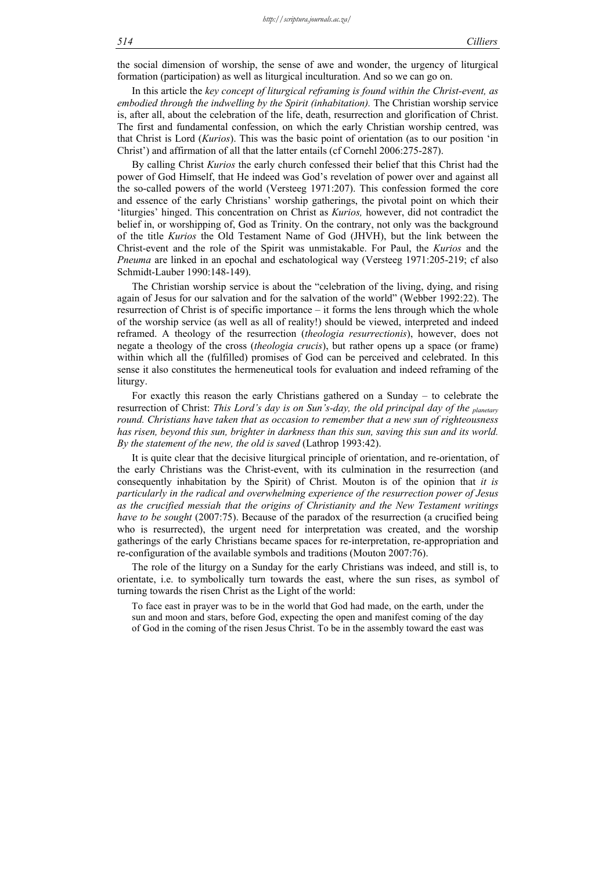the social dimension of worship, the sense of awe and wonder, the urgency of liturgical formation (participation) as well as liturgical inculturation. And so we can go on.

In this article the *key concept of liturgical reframing is found within the Christ-event, as embodied through the indwelling by the Spirit (inhabitation).* The Christian worship service is, after all, about the celebration of the life, death, resurrection and glorification of Christ. The first and fundamental confession, on which the early Christian worship centred, was that Christ is Lord (*Kurios*). This was the basic point of orientation (as to our position 'in Christ') and affirmation of all that the latter entails (cf Cornehl 2006:275-287).

By calling Christ *Kurios* the early church confessed their belief that this Christ had the power of God Himself, that He indeed was God's revelation of power over and against all the so-called powers of the world (Versteeg 1971:207). This confession formed the core and essence of the early Christians' worship gatherings, the pivotal point on which their 'liturgies' hinged. This concentration on Christ as *Kurios,* however, did not contradict the belief in, or worshipping of, God as Trinity. On the contrary, not only was the background of the title *Kurios* the Old Testament Name of God (JHVH), but the link between the Christ-event and the role of the Spirit was unmistakable. For Paul, the *Kurios* and the *Pneuma* are linked in an epochal and eschatological way (Versteeg 1971:205-219; cf also Schmidt-Lauber 1990:148-149).

The Christian worship service is about the "celebration of the living, dying, and rising again of Jesus for our salvation and for the salvation of the world" (Webber 1992:22). The resurrection of Christ is of specific importance – it forms the lens through which the whole of the worship service (as well as all of reality!) should be viewed, interpreted and indeed reframed. A theology of the resurrection (*theologia resurrectionis*), however, does not negate a theology of the cross (*theologia crucis*), but rather opens up a space (or frame) within which all the (fulfilled) promises of God can be perceived and celebrated. In this sense it also constitutes the hermeneutical tools for evaluation and indeed reframing of the liturgy.

For exactly this reason the early Christians gathered on a Sunday – to celebrate the resurrection of Christ: *This Lord's day is on Sun's-day, the old principal day of the planetary round. Christians have taken that as occasion to remember that a new sun of righteousness has risen, beyond this sun, brighter in darkness than this sun, saving this sun and its world. By the statement of the new, the old is saved* (Lathrop 1993:42).

It is quite clear that the decisive liturgical principle of orientation, and re-orientation, of the early Christians was the Christ-event, with its culmination in the resurrection (and consequently inhabitation by the Spirit) of Christ. Mouton is of the opinion that *it is particularly in the radical and overwhelming experience of the resurrection power of Jesus as the crucified messiah that the origins of Christianity and the New Testament writings have to be sought* (2007:75). Because of the paradox of the resurrection (a crucified being who is resurrected), the urgent need for interpretation was created, and the worship gatherings of the early Christians became spaces for re-interpretation, re-appropriation and re-configuration of the available symbols and traditions (Mouton 2007:76).

The role of the liturgy on a Sunday for the early Christians was indeed, and still is, to orientate, i.e. to symbolically turn towards the east, where the sun rises, as symbol of turning towards the risen Christ as the Light of the world:

To face east in prayer was to be in the world that God had made, on the earth, under the sun and moon and stars, before God, expecting the open and manifest coming of the day of God in the coming of the risen Jesus Christ. To be in the assembly toward the east was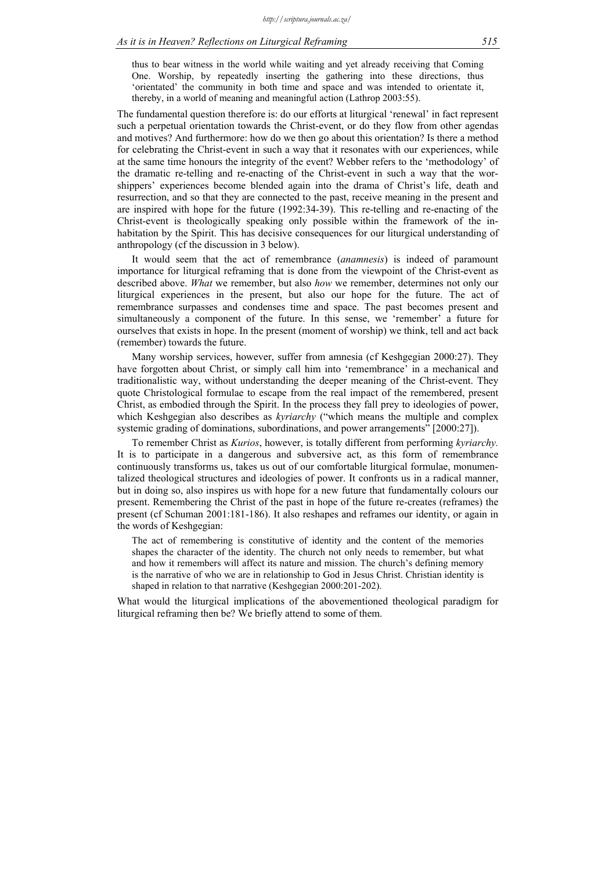### *As it is in Heaven? Reflections on Liturgical Reframing 515*

thus to bear witness in the world while waiting and yet already receiving that Coming One. Worship, by repeatedly inserting the gathering into these directions, thus 'orientated' the community in both time and space and was intended to orientate it, thereby, in a world of meaning and meaningful action (Lathrop 2003:55).

The fundamental question therefore is: do our efforts at liturgical 'renewal' in fact represent such a perpetual orientation towards the Christ-event, or do they flow from other agendas and motives? And furthermore: how do we then go about this orientation? Is there a method for celebrating the Christ-event in such a way that it resonates with our experiences, while at the same time honours the integrity of the event? Webber refers to the 'methodology' of the dramatic re-telling and re-enacting of the Christ-event in such a way that the worshippers' experiences become blended again into the drama of Christ's life, death and resurrection, and so that they are connected to the past, receive meaning in the present and are inspired with hope for the future (1992:34-39). This re-telling and re-enacting of the Christ-event is theologically speaking only possible within the framework of the inhabitation by the Spirit. This has decisive consequences for our liturgical understanding of anthropology (cf the discussion in 3 below).

It would seem that the act of remembrance (*anamnesis*) is indeed of paramount importance for liturgical reframing that is done from the viewpoint of the Christ-event as described above. *What* we remember, but also *how* we remember, determines not only our liturgical experiences in the present, but also our hope for the future. The act of remembrance surpasses and condenses time and space. The past becomes present and simultaneously a component of the future. In this sense, we 'remember' a future for ourselves that exists in hope. In the present (moment of worship) we think, tell and act back (remember) towards the future.

Many worship services, however, suffer from amnesia (cf Keshgegian 2000:27). They have forgotten about Christ, or simply call him into 'remembrance' in a mechanical and traditionalistic way, without understanding the deeper meaning of the Christ-event. They quote Christological formulae to escape from the real impact of the remembered, present Christ, as embodied through the Spirit. In the process they fall prey to ideologies of power, which Keshgegian also describes as *kyriarchy* ("which means the multiple and complex systemic grading of dominations, subordinations, and power arrangements" [2000:27]).

To remember Christ as *Kurios*, however, is totally different from performing *kyriarchy.* It is to participate in a dangerous and subversive act, as this form of remembrance continuously transforms us, takes us out of our comfortable liturgical formulae, monumentalized theological structures and ideologies of power. It confronts us in a radical manner, but in doing so, also inspires us with hope for a new future that fundamentally colours our present. Remembering the Christ of the past in hope of the future re-creates (reframes) the present (cf Schuman 2001:181-186). It also reshapes and reframes our identity, or again in the words of Keshgegian:

The act of remembering is constitutive of identity and the content of the memories shapes the character of the identity. The church not only needs to remember, but what and how it remembers will affect its nature and mission. The church's defining memory is the narrative of who we are in relationship to God in Jesus Christ. Christian identity is shaped in relation to that narrative (Keshgegian 2000:201-202).

What would the liturgical implications of the abovementioned theological paradigm for liturgical reframing then be? We briefly attend to some of them.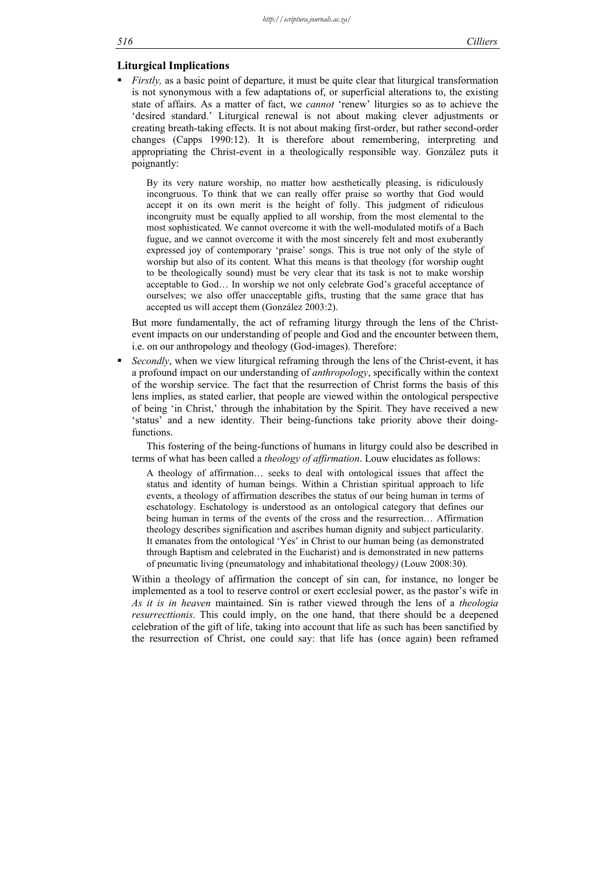## **Liturgical Implications**

*Firstly,* as a basic point of departure, it must be quite clear that liturgical transformation is not synonymous with a few adaptations of, or superficial alterations to, the existing state of affairs. As a matter of fact, we *cannot* 'renew' liturgies so as to achieve the 'desired standard.' Liturgical renewal is not about making clever adjustments or creating breath-taking effects. It is not about making first-order, but rather second-order changes (Capps 1990:12). It is therefore about remembering, interpreting and appropriating the Christ-event in a theologically responsible way. González puts it poignantly:

By its very nature worship, no matter how aesthetically pleasing, is ridiculously incongruous. To think that we can really offer praise so worthy that God would accept it on its own merit is the height of folly. This judgment of ridiculous incongruity must be equally applied to all worship, from the most elemental to the most sophisticated. We cannot overcome it with the well-modulated motifs of a Bach fugue, and we cannot overcome it with the most sincerely felt and most exuberantly expressed joy of contemporary 'praise' songs. This is true not only of the style of worship but also of its content. What this means is that theology (for worship ought to be theologically sound) must be very clear that its task is not to make worship acceptable to God… In worship we not only celebrate God's graceful acceptance of ourselves; we also offer unacceptable gifts, trusting that the same grace that has accepted us will accept them (González 2003:2).

But more fundamentally, the act of reframing liturgy through the lens of the Christevent impacts on our understanding of people and God and the encounter between them, i.e. on our anthropology and theology (God-images). Therefore:

 *Secondly*, when we view liturgical reframing through the lens of the Christ-event, it has a profound impact on our understanding of *anthropology*, specifically within the context of the worship service. The fact that the resurrection of Christ forms the basis of this lens implies, as stated earlier, that people are viewed within the ontological perspective of being 'in Christ,' through the inhabitation by the Spirit. They have received a new 'status' and a new identity. Their being-functions take priority above their doingfunctions.

This fostering of the being-functions of humans in liturgy could also be described in terms of what has been called a *theology of affirmation*. Louw elucidates as follows:

A theology of affirmation… seeks to deal with ontological issues that affect the status and identity of human beings. Within a Christian spiritual approach to life events, a theology of affirmation describes the status of our being human in terms of eschatology. Eschatology is understood as an ontological category that defines our being human in terms of the events of the cross and the resurrection… Affirmation theology describes signification and ascribes human dignity and subject particularity. It emanates from the ontological 'Yes' in Christ to our human being (as demonstrated through Baptism and celebrated in the Eucharist) and is demonstrated in new patterns of pneumatic living (pneumatology and inhabitational theology*)* (Louw 2008:30).

Within a theology of affirmation the concept of sin can, for instance, no longer be implemented as a tool to reserve control or exert ecclesial power, as the pastor's wife in *As it is in heaven* maintained. Sin is rather viewed through the lens of a *theologia resurrecttionis*. This could imply, on the one hand, that there should be a deepened celebration of the gift of life, taking into account that life as such has been sanctified by the resurrection of Christ, one could say: that life has (once again) been reframed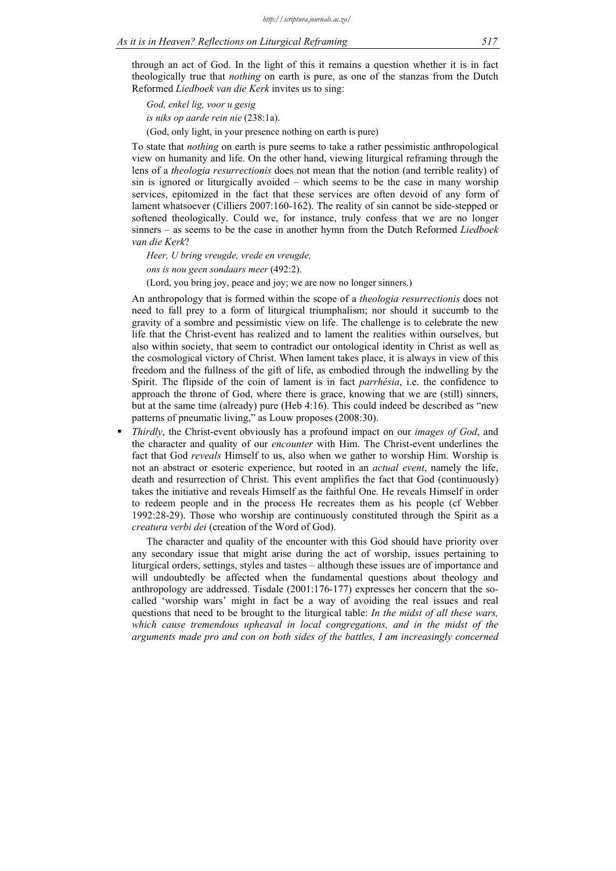through an act of God. In the light of this it remains a question whether it is in fact theologically true that *nothing* on earth is pure, as one of the stanzas from the Dutch Reformed *Liedboek van die Kerk* invites us to sing:

*God, enkel lig, voor u gesig is niks op aarde rein nie* (238:1a).

(God, only light, in your presence nothing on earth is pure)

To state that *nothing* on earth is pure seems to take a rather pessimistic anthropological view on humanity and life. On the other hand, viewing liturgical reframing through the lens of a *theologia resurrectionis* does not mean that the notion (and terrible reality) of sin is ignored or liturgically avoided – which seems to be the case in many worship services, epitomized in the fact that these services are often devoid of any form of lament whatsoever (Cilliers 2007:160-162). The reality of sin cannot be side-stepped or softened theologically. Could we, for instance, truly confess that we are no longer sinners – as seems to be the case in another hymn from the Dutch Reformed *Liedboek van die Kerk*?

*Heer, U bring vreugde, vrede en vreugde,* 

*ons is nou geen sondaars meer* (492:2).

(Lord, you bring joy, peace and joy; we are now no longer sinners.)

An anthropology that is formed within the scope of a *theologia resurrectionis* does not need to fall prey to a form of liturgical triumphalism; nor should it succumb to the gravity of a sombre and pessimistic view on life. The challenge is to celebrate the new life that the Christ-event has realized and to lament the realities within ourselves, but also within society, that seem to contradict our ontological identity in Christ as well as the cosmological victory of Christ. When lament takes place, it is always in view of this freedom and the fullness of the gift of life, as embodied through the indwelling by the Spirit. The flipside of the coin of lament is in fact *parrhésia*, i.e. the confidence to approach the throne of God, where there is grace, knowing that we are (still) sinners, but at the same time (already) pure (Heb 4:16). This could indeed be described as "new patterns of pneumatic living," as Louw proposes (2008:30).

 *Thirdly*, the Christ-event obviously has a profound impact on our *images of God*, and the character and quality of our *encounter* with Him. The Christ-event underlines the fact that God *reveals* Himself to us, also when we gather to worship Him. Worship is not an abstract or esoteric experience, but rooted in an *actual event*, namely the life, death and resurrection of Christ. This event amplifies the fact that God (continuously) takes the initiative and reveals Himself as the faithful One. He reveals Himself in order to redeem people and in the process He recreates them as his people (cf Webber 1992:28-29). Those who worship are continuously constituted through the Spirit as a *creatura verbi dei* (creation of the Word of God).

The character and quality of the encounter with this God should have priority over any secondary issue that might arise during the act of worship, issues pertaining to liturgical orders, settings, styles and tastes – although these issues are of importance and will undoubtedly be affected when the fundamental questions about theology and anthropology are addressed. Tisdale (2001:176-177) expresses her concern that the socalled 'worship wars' might in fact be a way of avoiding the real issues and real questions that need to be brought to the liturgical table: *In the midst of all these wars, which cause tremendous upheaval in local congregations, and in the midst of the arguments made pro and con on both sides of the battles, I am increasingly concerned*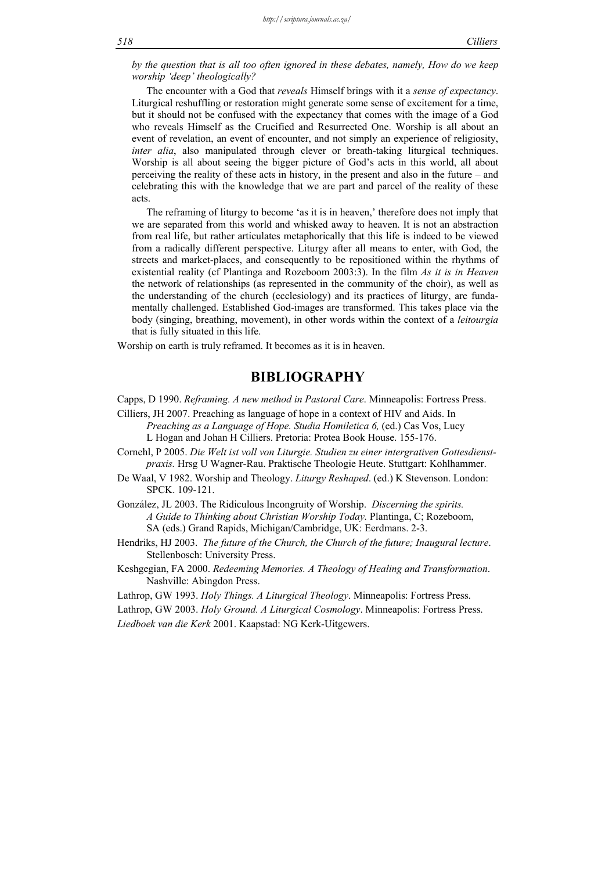*by the question that is all too often ignored in these debates, namely, How do we keep worship 'deep' theologically?* 

The encounter with a God that *reveals* Himself brings with it a *sense of expectancy*. Liturgical reshuffling or restoration might generate some sense of excitement for a time, but it should not be confused with the expectancy that comes with the image of a God who reveals Himself as the Crucified and Resurrected One. Worship is all about an event of revelation, an event of encounter, and not simply an experience of religiosity, *inter alia*, also manipulated through clever or breath-taking liturgical techniques. Worship is all about seeing the bigger picture of God's acts in this world, all about perceiving the reality of these acts in history, in the present and also in the future – and celebrating this with the knowledge that we are part and parcel of the reality of these acts.

The reframing of liturgy to become 'as it is in heaven,' therefore does not imply that we are separated from this world and whisked away to heaven. It is not an abstraction from real life, but rather articulates metaphorically that this life is indeed to be viewed from a radically different perspective. Liturgy after all means to enter, with God, the streets and market-places, and consequently to be repositioned within the rhythms of existential reality (cf Plantinga and Rozeboom 2003:3). In the film *As it is in Heaven* the network of relationships (as represented in the community of the choir), as well as the understanding of the church (ecclesiology) and its practices of liturgy, are fundamentally challenged. Established God-images are transformed. This takes place via the body (singing, breathing, movement), in other words within the context of a *leitourgia* that is fully situated in this life.

Worship on earth is truly reframed. It becomes as it is in heaven.

## **BIBLIOGRAPHY**

Capps, D 1990. *Reframing. A new method in Pastoral Care*. Minneapolis: Fortress Press.

- Cilliers, JH 2007. Preaching as language of hope in a context of HIV and Aids. In *Preaching as a Language of Hope. Studia Homiletica 6,* (ed.) Cas Vos, Lucy L Hogan and Johan H Cilliers. Pretoria: Protea Book House. 155-176.
- Cornehl, P 2005. *Die Welt ist voll von Liturgie. Studien zu einer intergrativen Gottesdienst-*
- *praxis.* Hrsg U Wagner-Rau. Praktische Theologie Heute. Stuttgart: Kohlhammer.
- De Waal, V 1982. Worship and Theology. *Liturgy Reshaped*. (ed.) K Stevenson. London: SPCK. 109-121.
- González, JL 2003. The Ridiculous Incongruity of Worship. *Discerning the spirits. A Guide to Thinking about Christian Worship Today.* Plantinga, C; Rozeboom, SA (eds.) Grand Rapids, Michigan/Cambridge, UK: Eerdmans. 2-3.
- Hendriks, HJ 2003. *The future of the Church, the Church of the future; Inaugural lecture*. Stellenbosch: University Press.
- Keshgegian, FA 2000. *Redeeming Memories. A Theology of Healing and Transformation*. Nashville: Abingdon Press.
- Lathrop, GW 1993. *Holy Things. A Liturgical Theology*. Minneapolis: Fortress Press.
- Lathrop, GW 2003. *Holy Ground. A Liturgical Cosmology*. Minneapolis: Fortress Press.
- *Liedboek van die Kerk* 2001. Kaapstad: NG Kerk-Uitgewers.